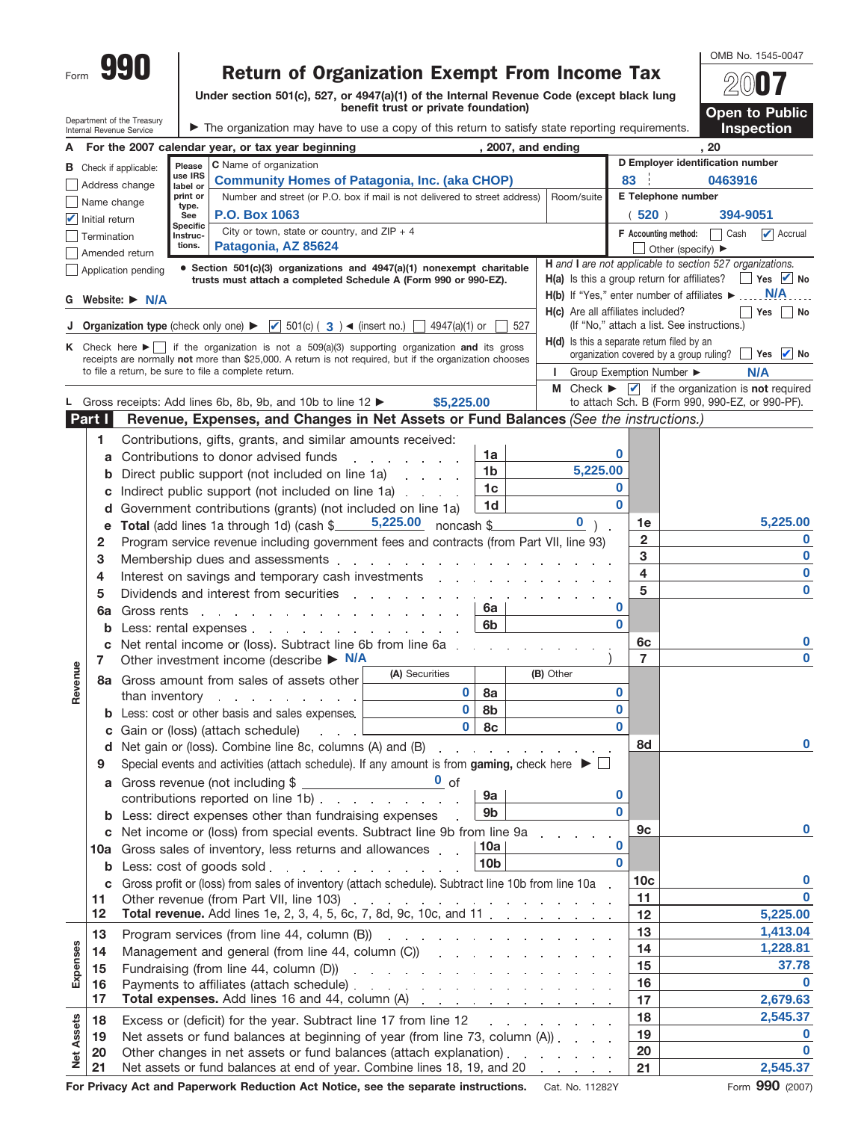|                   |                | 990                                                               |                        |                                                                                                                                                                 |                                      |                        |     |                                                                   |              |                                             | OMB No. 1545-0047                                                                         |          |
|-------------------|----------------|-------------------------------------------------------------------|------------------------|-----------------------------------------------------------------------------------------------------------------------------------------------------------------|--------------------------------------|------------------------|-----|-------------------------------------------------------------------|--------------|---------------------------------------------|-------------------------------------------------------------------------------------------|----------|
| Form              |                |                                                                   |                        | <b>Return of Organization Exempt From Income Tax</b>                                                                                                            |                                      |                        |     |                                                                   |              |                                             |                                                                                           |          |
|                   |                |                                                                   |                        | Under section 501(c), 527, or 4947(a)(1) of the Internal Revenue Code (except black lung                                                                        |                                      |                        |     |                                                                   |              |                                             |                                                                                           |          |
|                   |                | Department of the Treasury                                        |                        |                                                                                                                                                                 | benefit trust or private foundation) |                        |     |                                                                   |              |                                             | <b>Open to Public</b>                                                                     |          |
|                   |                | Internal Revenue Service                                          |                        | The organization may have to use a copy of this return to satisfy state reporting requirements.                                                                 |                                      |                        |     |                                                                   |              |                                             | <b>Inspection</b>                                                                         |          |
|                   |                |                                                                   |                        | A For the 2007 calendar year, or tax year beginning                                                                                                             |                                      |                        |     | , 2007, and ending                                                |              |                                             | , 20                                                                                      |          |
|                   |                | <b>B</b> Check if applicable:                                     | Please                 | C Name of organization                                                                                                                                          |                                      |                        |     |                                                                   |              |                                             | D Employer identification number                                                          |          |
|                   |                | Address change                                                    | use IRS<br>label or    | <b>Community Homes of Patagonia, Inc. (aka CHOP)</b>                                                                                                            |                                      |                        |     |                                                                   | 83           |                                             | 0463916                                                                                   |          |
|                   | Name change    |                                                                   | print or<br>type.      | Number and street (or P.O. box if mail is not delivered to street address)                                                                                      |                                      |                        |     | Room/suite                                                        |              | E Telephone number                          |                                                                                           |          |
|                   | Initial return |                                                                   | See<br><b>Specific</b> | <b>P.O. Box 1063</b>                                                                                                                                            |                                      |                        |     |                                                                   |              | (520)                                       | 394-9051                                                                                  |          |
|                   | Termination    |                                                                   | Instruc-<br>tions.     | City or town, state or country, and $ZIP + 4$<br>Patagonia, AZ 85624                                                                                            |                                      |                        |     |                                                                   |              | <b>F</b> Accounting method:                 | $\triangleright$ Accrual<br>  Cash                                                        |          |
|                   |                | Amended return                                                    |                        |                                                                                                                                                                 |                                      |                        |     |                                                                   |              | Other (specify) $\blacktriangleright$       | H and I are not applicable to section 527 organizations.                                  |          |
|                   |                | Application pending                                               |                        | • Section $501(c)(3)$ organizations and $4947(a)(1)$ nonexempt charitable<br>trusts must attach a completed Schedule A (Form 990 or 990-EZ).                    |                                      |                        |     | H(a) Is this a group return for affiliates?                       |              |                                             | Yes $\blacksquare$ No                                                                     |          |
|                   |                | G Website: ▶ N/A                                                  |                        |                                                                                                                                                                 |                                      |                        |     | $H(b)$ If "Yes," enter number of affiliates $\blacktriangleright$ |              |                                             | <b>N/A</b>                                                                                |          |
|                   |                |                                                                   |                        |                                                                                                                                                                 |                                      |                        |     | <b>H(c)</b> Are all affiliates included?                          |              |                                             | Yes     No                                                                                |          |
|                   |                | <b>J</b> Organization type (check only one) $\blacktriangleright$ |                        | ■ 501(c) ( 3 ) < (insert no.)                                                                                                                                   | 4947(a)(1) or                        |                        | 527 |                                                                   |              | (If "No," attach a list. See instructions.) |                                                                                           |          |
|                   |                |                                                                   |                        | K Check here $\blacktriangleright$ if the organization is not a 509(a)(3) supporting organization and its gross                                                 |                                      |                        |     | H(d) Is this a separate return filed by an                        |              | organization covered by a group ruling?     | $Yes$ $\blacksquare$ No                                                                   |          |
|                   |                |                                                                   |                        | receipts are normally not more than \$25,000. A return is not required, but if the organization chooses<br>to file a return, be sure to file a complete return. |                                      |                        |     |                                                                   |              | Group Exemption Number ▶                    | N/A                                                                                       |          |
|                   |                |                                                                   |                        |                                                                                                                                                                 |                                      |                        |     |                                                                   |              |                                             | <b>M</b> Check $\triangleright$ $\blacksquare$ if the organization is <b>not</b> required |          |
|                   |                |                                                                   |                        | Gross receipts: Add lines 6b, 8b, 9b, and 10b to line 12 $\blacktriangleright$                                                                                  | \$5,225,00                           |                        |     |                                                                   |              |                                             | to attach Sch. B (Form 990, 990-EZ, or 990-PF).                                           |          |
|                   | Part I         |                                                                   |                        | Revenue, Expenses, and Changes in Net Assets or Fund Balances (See the instructions.)                                                                           |                                      |                        |     |                                                                   |              |                                             |                                                                                           |          |
|                   | 1              |                                                                   |                        | Contributions, gifts, grants, and similar amounts received:                                                                                                     |                                      |                        |     |                                                                   |              |                                             |                                                                                           |          |
|                   | a              |                                                                   |                        | Contributions to donor advised funds                                                                                                                            |                                      | 1a                     |     |                                                                   | 0            |                                             |                                                                                           |          |
|                   | b              |                                                                   |                        | Direct public support (not included on line 1a)                                                                                                                 |                                      | 1 <sub>b</sub>         |     | 5,225.00                                                          |              |                                             |                                                                                           |          |
|                   | C              |                                                                   |                        | Indirect public support (not included on line 1a)                                                                                                               |                                      | 1 <sub>c</sub>         |     |                                                                   | 0            |                                             |                                                                                           |          |
|                   | d              |                                                                   |                        | Government contributions (grants) (not included on line 1a)                                                                                                     |                                      | 1 <sub>d</sub>         |     |                                                                   | $\bf{0}$     |                                             |                                                                                           |          |
|                   | е              |                                                                   |                        | Total (add lines 1a through 1d) (cash $\frac{5,225.00}{2}$ noncash \$                                                                                           |                                      |                        |     | $\mathbf{0}$                                                      |              | 1e                                          | 5,225.00                                                                                  |          |
|                   | 2              |                                                                   |                        | Program service revenue including government fees and contracts (from Part VII, line 93)                                                                        |                                      |                        |     |                                                                   |              | $\overline{2}$                              |                                                                                           | 0        |
|                   | 3              |                                                                   |                        | Membership dues and assessments                                                                                                                                 |                                      |                        |     |                                                                   |              | 3                                           |                                                                                           | 0<br>0   |
|                   | 4              |                                                                   |                        | Interest on savings and temporary cash investments                                                                                                              |                                      |                        |     |                                                                   |              | 4<br>5                                      |                                                                                           | 0        |
|                   | 5              |                                                                   |                        | Dividends and interest from securities                                                                                                                          |                                      | $\sim 100$<br>6a       |     |                                                                   | 0            |                                             |                                                                                           |          |
|                   | 6a             |                                                                   |                        | Gross rents and a series and a series of the series of the series of the series of the series of the series of                                                  |                                      | 6 <sub>b</sub>         |     |                                                                   | $\bf{0}$     |                                             |                                                                                           |          |
|                   | b<br>C         |                                                                   |                        | Less: rental expenses<br>Net rental income or (loss). Subtract line 6b from line 6a                                                                             |                                      |                        |     |                                                                   |              | 6c                                          |                                                                                           | 0        |
|                   | 7              |                                                                   |                        | Other investment income (describe $\triangleright$ N/A                                                                                                          |                                      |                        |     |                                                                   |              | $\overline{7}$                              |                                                                                           | 0        |
| enue              |                |                                                                   |                        | 8a Gross amount from sales of assets other                                                                                                                      | (A) Securities                       |                        |     | (B) Other                                                         |              |                                             |                                                                                           |          |
| Rev               |                |                                                                   |                        | than inventory $\ldots$ $\ldots$ $\ldots$                                                                                                                       | $\bf{0}$                             | 8a                     |     |                                                                   | 0            |                                             |                                                                                           |          |
|                   | b              |                                                                   |                        | Less: cost or other basis and sales expenses.                                                                                                                   | $\mathbf 0$                          | 8b                     |     |                                                                   | $\bf{0}$     |                                             |                                                                                           |          |
|                   | C              |                                                                   |                        | Gain or (loss) (attach schedule)<br>$\ldots$ . $\ldots$                                                                                                         | $\mathbf{0}$                         | 8c                     |     |                                                                   | $\bf{0}$     |                                             |                                                                                           |          |
|                   | d              |                                                                   |                        | Net gain or (loss). Combine line 8c, columns (A) and (B)                                                                                                        |                                      |                        |     |                                                                   |              | 8d                                          |                                                                                           | 0        |
|                   | 9              |                                                                   |                        | Special events and activities (attach schedule). If any amount is from gaming, check here $\blacktriangleright \Box$                                            |                                      |                        |     |                                                                   |              |                                             |                                                                                           |          |
|                   | a              |                                                                   |                        | Gross revenue (not including \$                                                                                                                                 |                                      |                        |     |                                                                   |              |                                             |                                                                                           |          |
|                   |                |                                                                   |                        | contributions reported on line 1b)                                                                                                                              |                                      | 9a                     |     |                                                                   | 0            |                                             |                                                                                           |          |
|                   | b              |                                                                   |                        | Less: direct expenses other than fundraising expenses                                                                                                           |                                      | 9b                     |     |                                                                   | $\mathbf{0}$ |                                             |                                                                                           |          |
|                   | c              |                                                                   |                        | Net income or (loss) from special events. Subtract line 9b from line 9a                                                                                         |                                      |                        |     |                                                                   | 0            | 9c                                          |                                                                                           | $\bf{0}$ |
|                   | 10a            |                                                                   |                        | Gross sales of inventory, less returns and allowances                                                                                                           |                                      | 10a<br>10 <sub>b</sub> |     |                                                                   | $\bf{0}$     |                                             |                                                                                           |          |
|                   | b              |                                                                   |                        | Less: cost of goods sold example and a series of the solution of the series of the series of the series of the                                                  |                                      |                        |     |                                                                   |              | 10 <sub>c</sub>                             |                                                                                           | $\bf{0}$ |
|                   | C              |                                                                   |                        | Gross profit or (loss) from sales of inventory (attach schedule). Subtract line 10b from line 10a                                                               |                                      |                        |     |                                                                   |              | 11                                          |                                                                                           | $\bf{0}$ |
|                   | 11<br>12       |                                                                   |                        | <b>Total revenue.</b> Add lines 1e, 2, 3, 4, 5, 6c, 7, 8d, 9c, 10c, and 11                                                                                      |                                      |                        |     |                                                                   |              | 12                                          | 5,225.00                                                                                  |          |
|                   | 13             |                                                                   |                        | Program services (from line 44, column (B))                                                                                                                     |                                      |                        |     |                                                                   |              | 13                                          | 1,413.04                                                                                  |          |
|                   | 14             |                                                                   |                        | Management and general (from line 44, column (C)) contains the contract of the Management and general the term                                                  |                                      |                        |     |                                                                   |              | 14                                          | 1,228.81                                                                                  |          |
| Expenses          | 15             |                                                                   |                        |                                                                                                                                                                 |                                      |                        |     |                                                                   |              | 15                                          | 37.78                                                                                     |          |
|                   | 16             |                                                                   |                        | Payments to affiliates (attach schedule)                                                                                                                        |                                      |                        |     |                                                                   |              | 16                                          |                                                                                           | $\bf{0}$ |
|                   | 17             |                                                                   |                        | Total expenses. Add lines 16 and 44, column (A)                                                                                                                 |                                      |                        |     |                                                                   |              | 17                                          | 2,679.63                                                                                  |          |
|                   | 18             |                                                                   |                        |                                                                                                                                                                 |                                      |                        |     |                                                                   |              | 18                                          | 2,545.37                                                                                  |          |
| <b>Net Assets</b> | 19             |                                                                   |                        | Net assets or fund balances at beginning of year (from line 73, column (A)).                                                                                    |                                      |                        |     |                                                                   |              | 19                                          |                                                                                           | $\bf{0}$ |
|                   | 20             |                                                                   |                        | Other changes in net assets or fund balances (attach explanation).                                                                                              |                                      |                        |     |                                                                   |              | 20                                          |                                                                                           | $\bf{0}$ |
|                   | 21             |                                                                   |                        | Net assets or fund balances at end of year. Combine lines 18, 19, and 20                                                                                        |                                      |                        |     |                                                                   |              | 21                                          | 2,545.37                                                                                  |          |

**For Privacy Act and Paperwork Reduction Act Notice, see the separate instructions.** Cat. No. 11282Y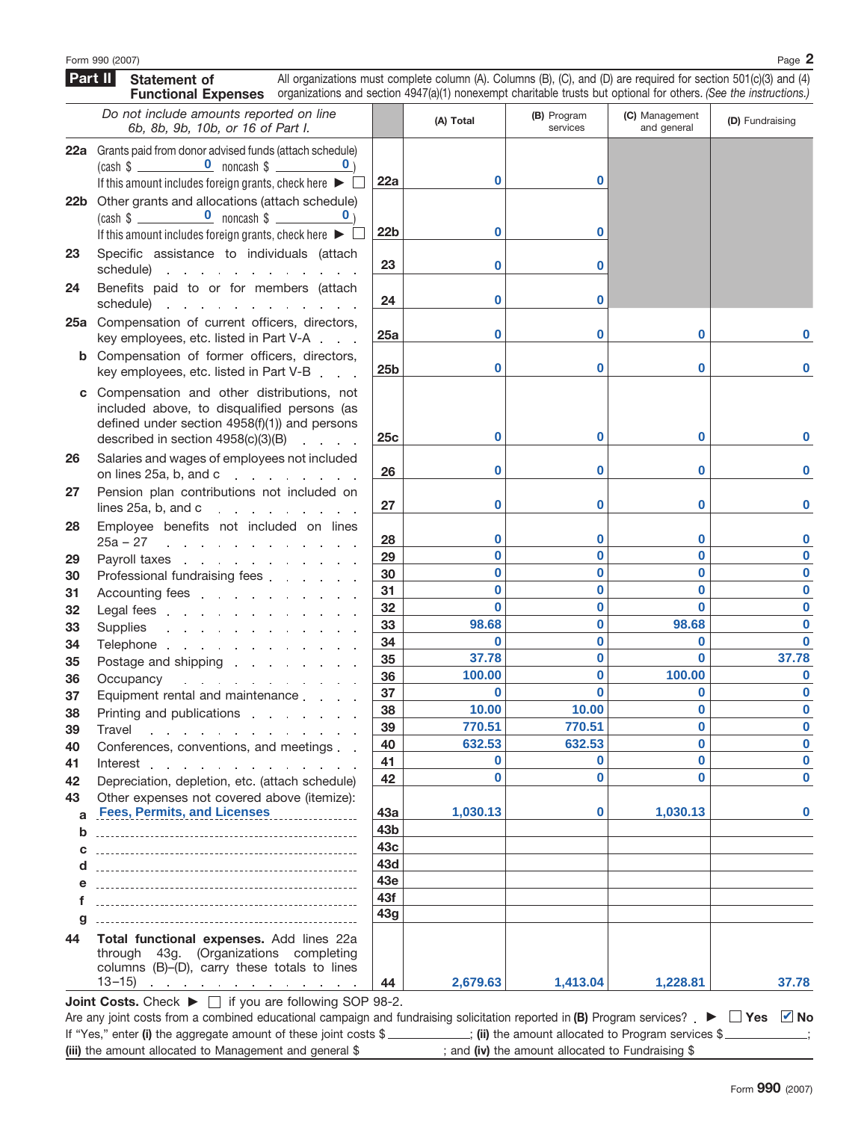**Part II**

**Statement of**

|          | <b>Functional Expenses</b> organizations and section 4947(a)(1) nonexempt charitable trusts but optional for others. (See the instructions.)                                                                                                                                                       |                 |                   |                         |                               |                 |
|----------|----------------------------------------------------------------------------------------------------------------------------------------------------------------------------------------------------------------------------------------------------------------------------------------------------|-----------------|-------------------|-------------------------|-------------------------------|-----------------|
|          | Do not include amounts reported on line<br>6b, 8b, 9b, 10b, or 16 of Part I.                                                                                                                                                                                                                       |                 | (A) Total         | (B) Program<br>services | (C) Management<br>and general | (D) Fundraising |
|          | 22a Grants paid from donor advised funds (attach schedule)                                                                                                                                                                                                                                         |                 |                   |                         |                               |                 |
|          |                                                                                                                                                                                                                                                                                                    |                 |                   |                         |                               |                 |
|          | If this amount includes foreign grants, check here $\blacktriangleright \Box$                                                                                                                                                                                                                      | 22a             | 0                 | 0                       |                               |                 |
|          | 22b Other grants and allocations (attach schedule)                                                                                                                                                                                                                                                 |                 |                   |                         |                               |                 |
|          | If this amount includes foreign grants, check here $\blacktriangleright \Box$                                                                                                                                                                                                                      | 22 <sub>b</sub> | $\bf{0}$          | 0                       |                               |                 |
|          |                                                                                                                                                                                                                                                                                                    |                 |                   |                         |                               |                 |
| 23       | Specific assistance to individuals (attach<br>schedule) expansion and schedule and schedule and schedule and schedule and schedule and schedule and schedule                                                                                                                                       | 23              | $\bf{0}$          | 0                       |                               |                 |
| 24       | Benefits paid to or for members (attach                                                                                                                                                                                                                                                            |                 |                   |                         |                               |                 |
|          | schedule) and the schedule of the set of the set of the set of the set of the set of the set of the set of the                                                                                                                                                                                     | 24              | $\bf{0}$          | 0                       |                               |                 |
|          | 25a Compensation of current officers, directors,                                                                                                                                                                                                                                                   |                 |                   |                         |                               |                 |
|          | key employees, etc. listed in Part V-A                                                                                                                                                                                                                                                             | 25a             | 0                 | 0                       | 0                             |                 |
|          | <b>b</b> Compensation of former officers, directors,                                                                                                                                                                                                                                               |                 |                   |                         |                               |                 |
|          | key employees, etc. listed in Part V-B                                                                                                                                                                                                                                                             | 25 <sub>b</sub> | $\bf{0}$          | 0                       | 0                             | 0               |
|          | c Compensation and other distributions, not                                                                                                                                                                                                                                                        |                 |                   |                         |                               |                 |
|          | included above, to disqualified persons (as                                                                                                                                                                                                                                                        |                 |                   |                         |                               |                 |
|          | defined under section $4958(f)(1)$ ) and persons                                                                                                                                                                                                                                                   |                 |                   |                         |                               |                 |
|          | described in section 4958(c)(3)(B)<br>and a state                                                                                                                                                                                                                                                  | 25c             | $\bf{0}$          | $\bf{0}$                | 0                             | n               |
| 26       | Salaries and wages of employees not included                                                                                                                                                                                                                                                       |                 | $\bf{0}$          | 0                       | 0                             | 0               |
|          | on lines 25a, b, and c                                                                                                                                                                                                                                                                             | 26              |                   |                         |                               |                 |
| 27       | Pension plan contributions not included on<br>lines $25a$ , b, and c $\qquad \qquad \qquad \qquad$                                                                                                                                                                                                 | 27              | $\bf{0}$          | 0                       | 0                             | 0               |
| 28       | Employee benefits not included on lines                                                                                                                                                                                                                                                            |                 |                   |                         |                               |                 |
|          | $25a - 27$<br>and the contract of the contract of the                                                                                                                                                                                                                                              | 28              | $\bf{0}$          | 0                       | 0                             | 0               |
| 29       | Payroll taxes and the state of the state of the state of the state of the state of the state of the state of the state of the state of the state of the state of the state of the state of the state of the state of the state                                                                     | 29              | $\bf{0}$          | 0                       | 0                             | 0               |
| 30       | Professional fundraising fees                                                                                                                                                                                                                                                                      | 30              | $\bf{0}$          | $\bf{0}$                | 0                             | 0               |
| 31       | Accounting fees expansion and a set of the set of the set of the set of the set of the set of the set of the s                                                                                                                                                                                     | 31              | $\bf{0}$          | 0                       | 0                             | 0               |
| 32       | Legal fees enters and the set of the set of the set of the set of the set of the set of the set of the set of the set of the set of the set of the set of the set of the set of the set of the set of the set of the set of th                                                                     | 32              | $\bf{0}$          | 0                       | $\Omega$                      | 0               |
| 33       | Supplies                                                                                                                                                                                                                                                                                           | 33              | 98.68             | 0                       | 98.68                         | 0               |
| 34       | Telephone                                                                                                                                                                                                                                                                                          | 34              | $\bf{0}$          | 0                       | 0                             | $\bf{0}$        |
| 35       | Postage and shipping research and shipping research and shipping                                                                                                                                                                                                                                   | 35              | 37.78             | $\bf{0}$                | $\bf{0}$                      | 37.78           |
| 36       | Occupancy example and the contract of the contract of the contract of the contract of the contract of the contract of the contract of the contract of the contract of the contract of the contract of the contract of the cont                                                                     | 36              | 100.00            | $\bf{0}$                | 100.00                        | 0               |
| 37       | Equipment rental and maintenance                                                                                                                                                                                                                                                                   | 37              | $\bf{0}$<br>10.00 | $\bf{0}$                | 0<br>0                        | 0<br>$\bf{0}$   |
| 38       | Printing and publications extended and publications and all the state of the state of the Principal Principal S                                                                                                                                                                                    | 38<br>39        | 770.51            | 10.00<br>770.51         | $\mathbf 0$                   | $\mathbf 0$     |
| 39       | Travel<br>and a straightful contract and a straight and<br>Conferences, conventions, and meetings                                                                                                                                                                                                  | 40              | 632.53            | 632.53                  | 0                             | $\bf{0}$        |
| 40<br>41 |                                                                                                                                                                                                                                                                                                    | 41              | 0                 | 0                       | 0                             | $\bf{0}$        |
| 42       | Depreciation, depletion, etc. (attach schedule)                                                                                                                                                                                                                                                    | 42              | $\bf{0}$          | 0                       | 0                             | $\bf{0}$        |
| 43       | Other expenses not covered above (itemize):                                                                                                                                                                                                                                                        |                 |                   |                         |                               |                 |
| a        | <b>Fees, Permits, and Licenses</b>                                                                                                                                                                                                                                                                 | 43a             | 1,030.13          | 0                       | 1,030.13                      | 0               |
| b        |                                                                                                                                                                                                                                                                                                    | 43b             |                   |                         |                               |                 |
| C        |                                                                                                                                                                                                                                                                                                    | 43c             |                   |                         |                               |                 |
| d        |                                                                                                                                                                                                                                                                                                    | 43d             |                   |                         |                               |                 |
| е        |                                                                                                                                                                                                                                                                                                    | 43e             |                   |                         |                               |                 |
| f        |                                                                                                                                                                                                                                                                                                    | 43f             |                   |                         |                               |                 |
|          |                                                                                                                                                                                                                                                                                                    | 43g             |                   |                         |                               |                 |
| 44       | Total functional expenses. Add lines 22a<br>through 43g. (Organizations completing<br>columns (B)-(D), carry these totals to lines<br>13–15) $\cdots$ $\cdots$ $\cdots$                                                                                                                            | 44              | 2,679.63          | 1,413.04                | 1,228.81                      | 37.78           |
|          | <b>Joint Costs.</b> Check $\blacktriangleright \Box$ if you are following SOP 98-2.                                                                                                                                                                                                                |                 |                   |                         |                               |                 |
|          | Are any joint costs from a combined educational campaign and fundraising solicitation reported in (B) Program services? $\blacktriangleright \Box$ Yes $\Box$ No<br>If "Yes," enter (i) the aggregate amount of these joint costs \$__________; (ii) the amount allocated to Program services \$__ |                 |                   |                         |                               |                 |

All organizations must complete column (A). Columns (B), (C), and (D) are required for section 501(c)(3) and (4)

**(iii)** the amount allocated to Management and general \$ ; and **(iv)** the amount allocated to Fundraising \$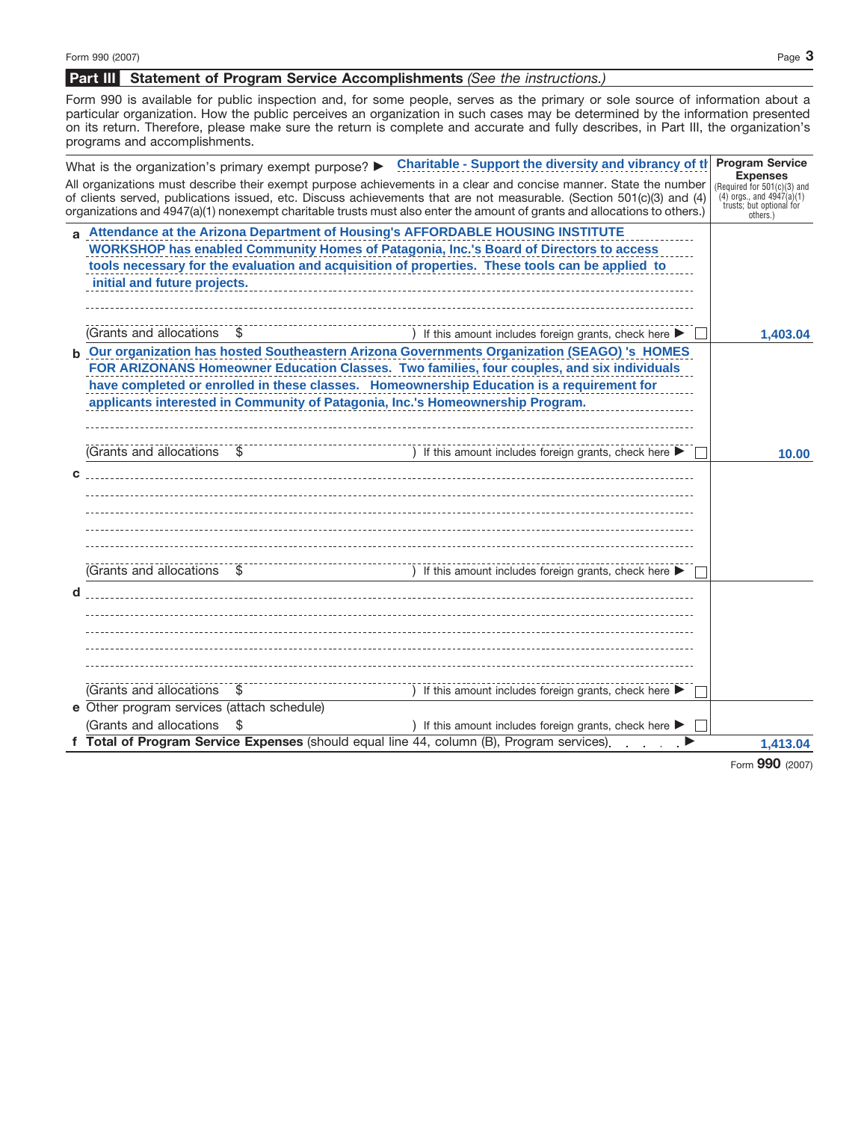## **Statement of Program Service Accomplishments** *(See the instructions.)* **Part III**

Form 990 is available for public inspection and, for some people, serves as the primary or sole source of information about a particular organization. How the public perceives an organization in such cases may be determined by the information presented on its return. Therefore, please make sure the return is complete and accurate and fully describes, in Part III, the organization's programs and accomplishments.

|                                            | What is the organization's primary exempt purpose? > Charitable - Support the diversity and vibrancy of the Program Service                                                                                                                                                                                                                                            | <b>Expenses</b>                                                                                     |
|--------------------------------------------|------------------------------------------------------------------------------------------------------------------------------------------------------------------------------------------------------------------------------------------------------------------------------------------------------------------------------------------------------------------------|-----------------------------------------------------------------------------------------------------|
|                                            | All organizations must describe their exempt purpose achievements in a clear and concise manner. State the number<br>of clients served, publications issued, etc. Discuss achievements that are not measurable. (Section 501(c)(3) and (4)<br>organizations and 4947(a)(1) nonexempt charitable trusts must also enter the amount of grants and allocations to others. | Required for 501(c)(3) and<br>$(4)$ orgs., and $4947(a)(1)$<br>trusts; but optional for<br>others.) |
|                                            | a Attendance at the Arizona Department of Housing's AFFORDABLE HOUSING INSTITUTE                                                                                                                                                                                                                                                                                       |                                                                                                     |
|                                            | WORKSHOP has enabled Community Homes of Patagonia, Inc.'s Board of Directors to access<br>tools necessary for the evaluation and acquisition of properties. These tools can be applied to                                                                                                                                                                              |                                                                                                     |
| initial and future projects.               |                                                                                                                                                                                                                                                                                                                                                                        |                                                                                                     |
| (Grants and allocations \,                 | If this amount includes foreign grants, check here $\blacktriangleright$                                                                                                                                                                                                                                                                                               |                                                                                                     |
|                                            | b Our organization has hosted Southeastern Arizona Governments Organization (SEAGO) 's HOMES                                                                                                                                                                                                                                                                           |                                                                                                     |
|                                            | FOR ARIZONANS Homeowner Education Classes. Two families, four couples, and six individuals                                                                                                                                                                                                                                                                             |                                                                                                     |
|                                            | have completed or enrolled in these classes. Homeownership Education is a requirement for<br>applicants interested in Community of Patagonia, Inc.'s Homeownership Program.                                                                                                                                                                                            |                                                                                                     |
|                                            |                                                                                                                                                                                                                                                                                                                                                                        |                                                                                                     |
|                                            |                                                                                                                                                                                                                                                                                                                                                                        |                                                                                                     |
| (Grants and allocations                    |                                                                                                                                                                                                                                                                                                                                                                        |                                                                                                     |
|                                            |                                                                                                                                                                                                                                                                                                                                                                        |                                                                                                     |
|                                            |                                                                                                                                                                                                                                                                                                                                                                        |                                                                                                     |
|                                            |                                                                                                                                                                                                                                                                                                                                                                        |                                                                                                     |
|                                            |                                                                                                                                                                                                                                                                                                                                                                        |                                                                                                     |
| (Grants and allocations                    | If this amount includes foreign grants, check here $\blacktriangleright$                                                                                                                                                                                                                                                                                               |                                                                                                     |
|                                            |                                                                                                                                                                                                                                                                                                                                                                        |                                                                                                     |
|                                            |                                                                                                                                                                                                                                                                                                                                                                        |                                                                                                     |
|                                            |                                                                                                                                                                                                                                                                                                                                                                        |                                                                                                     |
|                                            |                                                                                                                                                                                                                                                                                                                                                                        |                                                                                                     |
|                                            |                                                                                                                                                                                                                                                                                                                                                                        |                                                                                                     |
|                                            | The contract of the same of the same of the same of the same of the same of the same of the same of the same of the same of the same of the same of the same of the same of the same of the same of the same of the same of t                                                                                                                                          |                                                                                                     |
| e Other program services (attach schedule) |                                                                                                                                                                                                                                                                                                                                                                        |                                                                                                     |
| (Grants and allocations \$                 | ) If this amount includes foreign grants, check here $\blacktriangleright$                                                                                                                                                                                                                                                                                             |                                                                                                     |
|                                            | f Total of Program Service Expenses (should equal line 44, column (B), Program services).                                                                                                                                                                                                                                                                              | 1,413.04                                                                                            |
|                                            |                                                                                                                                                                                                                                                                                                                                                                        |                                                                                                     |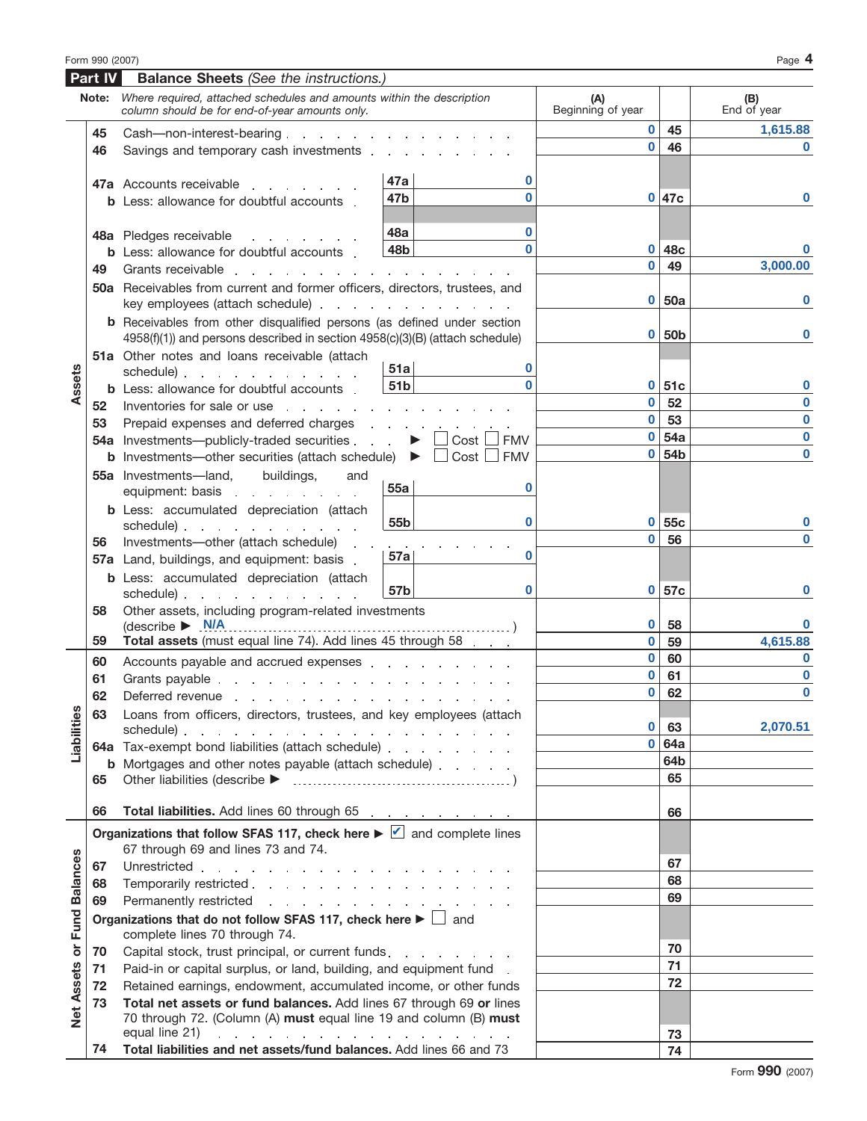|                   | Part IV  | <b>Balance Sheets (See the instructions.)</b>                                                                                                                                                                                                                                                                                                                                                                                                                                                                                                     |                 |                                                    |                          |                  |                    |
|-------------------|----------|---------------------------------------------------------------------------------------------------------------------------------------------------------------------------------------------------------------------------------------------------------------------------------------------------------------------------------------------------------------------------------------------------------------------------------------------------------------------------------------------------------------------------------------------------|-----------------|----------------------------------------------------|--------------------------|------------------|--------------------|
|                   | Note:    | Where required, attached schedules and amounts within the description<br>column should be for end-of-year amounts only.                                                                                                                                                                                                                                                                                                                                                                                                                           |                 |                                                    | (A)<br>Beginning of year |                  | (B)<br>End of year |
|                   | 45       | Cash-non-interest-bearing                                                                                                                                                                                                                                                                                                                                                                                                                                                                                                                         |                 |                                                    | $\bf{0}$                 | 45               | 1,615.88           |
|                   | 46       | Savings and temporary cash investments entitled and the same state of the same state of the same state of the same state of the same state of the same state of the same state of the same state of the same state of the same                                                                                                                                                                                                                                                                                                                    |                 |                                                    | $\bf{0}$                 | 46               | $\Omega$           |
|                   |          |                                                                                                                                                                                                                                                                                                                                                                                                                                                                                                                                                   | 47a             | 0                                                  |                          |                  |                    |
|                   |          | <b>47a</b> Accounts receivable                                                                                                                                                                                                                                                                                                                                                                                                                                                                                                                    | 47b             |                                                    |                          | 0 47c            | $\bf{0}$           |
|                   |          | <b>b</b> Less: allowance for doubtful accounts.                                                                                                                                                                                                                                                                                                                                                                                                                                                                                                   |                 |                                                    |                          |                  |                    |
|                   |          | 48a Pledges receivable<br>and a strategic and                                                                                                                                                                                                                                                                                                                                                                                                                                                                                                     | 48a             | 0                                                  |                          |                  |                    |
|                   |          | <b>b</b> Less: allowance for doubtful accounts                                                                                                                                                                                                                                                                                                                                                                                                                                                                                                    | 48b             | O                                                  | $\mathbf 0$              | 48c              |                    |
|                   | 49       | Grants receivable<br>and a state of the state of                                                                                                                                                                                                                                                                                                                                                                                                                                                                                                  |                 |                                                    | $\bf{0}$                 | 49               | 3,000.00           |
|                   |          | 50a Receivables from current and former officers, directors, trustees, and<br>key employees (attach schedule)                                                                                                                                                                                                                                                                                                                                                                                                                                     |                 |                                                    | $\bf{0}$                 | 50a              | ŋ                  |
|                   |          | <b>b</b> Receivables from other disqualified persons (as defined under section<br>4958(f)(1)) and persons described in section 4958(c)(3)(B) (attach schedule)                                                                                                                                                                                                                                                                                                                                                                                    |                 |                                                    | $\mathbf 0$              | 50 <sub>b</sub>  | $\bf{0}$           |
|                   |          | 51a Other notes and loans receivable (attach                                                                                                                                                                                                                                                                                                                                                                                                                                                                                                      | 51a             | 0                                                  |                          |                  |                    |
| Assets            |          | schedule) and a schedule and a schedule and a schedule and a schedule and a schedule and a schedule and a schedule<br><b>b</b> Less: allowance for doubtful accounts                                                                                                                                                                                                                                                                                                                                                                              | 51 <sub>b</sub> |                                                    | $\mathbf{0}$             | <b>51c</b>       | $\bf{0}$           |
|                   | 52       | Inventories for sale or use entering the set of the same state of the same state of the set of the set of the s                                                                                                                                                                                                                                                                                                                                                                                                                                   |                 |                                                    | $\bf{0}$                 | 52               | $\bf{0}$           |
|                   | 53       | Prepaid expenses and deferred charges                                                                                                                                                                                                                                                                                                                                                                                                                                                                                                             |                 | the contract of the contract of                    | $\bf{0}$                 | 53               | $\bf{0}$           |
|                   |          | <b>54a</b> Investments—publicly-traded securities                                                                                                                                                                                                                                                                                                                                                                                                                                                                                                 |                 | $Cost \Box$<br><b>FMV</b><br>$\blacktriangleright$ | $\mathbf{0}$             | 54a              | $\bf{0}$           |
|                   |          | <b>b</b> Investments—other securities (attach schedule) $\triangleright$                                                                                                                                                                                                                                                                                                                                                                                                                                                                          |                 | $Cost$ $\Box$<br><b>FMV</b>                        | $\mathbf{0}$             | 54 <sub>b</sub>  | $\bf{0}$           |
|                   |          | buildings,<br>55a Investments-land,<br>and                                                                                                                                                                                                                                                                                                                                                                                                                                                                                                        | 55a             | 0                                                  |                          |                  |                    |
|                   |          | <b>b</b> Less: accumulated depreciation (attach                                                                                                                                                                                                                                                                                                                                                                                                                                                                                                   | 55 <sub>b</sub> | 0                                                  | $\mathbf{0}$             | 55c              | $\bf{0}$           |
|                   | 56       | Investments-other (attach schedule)                                                                                                                                                                                                                                                                                                                                                                                                                                                                                                               |                 |                                                    | $\bf{0}$                 | 56               | O                  |
|                   |          | 57a Land, buildings, and equipment: basis.                                                                                                                                                                                                                                                                                                                                                                                                                                                                                                        | 57a             | 0                                                  |                          |                  |                    |
|                   |          | <b>b</b> Less: accumulated depreciation (attach<br>schedule) and the schedule of the schedule of the schedule of the schedule of the schedule of the schedule of the schedule of the schedule of the schedule of the schedule of the schedule of the schedule of the schedule of                                                                                                                                                                                                                                                                  | 57b             | $\bf{0}$                                           | $\mathbf 0$              | 57c              |                    |
|                   | 58       | Other assets, including program-related investments<br>$\text{(describe} \rightarrow \text{N/A}$                                                                                                                                                                                                                                                                                                                                                                                                                                                  |                 |                                                    | $\mathbf 0$              | -58              |                    |
|                   | 59       | Total assets (must equal line 74). Add lines 45 through 58                                                                                                                                                                                                                                                                                                                                                                                                                                                                                        |                 |                                                    | $\mathbf{0}$             | 59               | 4,615.88           |
|                   | 60       | Accounts payable and accrued expenses entitled and accrued expenses                                                                                                                                                                                                                                                                                                                                                                                                                                                                               |                 |                                                    | $\bf{0}$                 | 60               | $\bf{0}$           |
|                   | 61       | Grants payable research and research and research and research and research and research and research and research and research and research and research and research and research and research and research and research and                                                                                                                                                                                                                                                                                                                    |                 |                                                    | $\mathbf 0$              | 61               | $\bf{0}$           |
|                   | 62       | Deferred revenue                                                                                                                                                                                                                                                                                                                                                                                                                                                                                                                                  |                 |                                                    | $\bf{0}$                 | 62               | $\bf{0}$           |
|                   | 63       | Loans from officers, directors, trustees, and key employees (attach                                                                                                                                                                                                                                                                                                                                                                                                                                                                               |                 |                                                    |                          |                  |                    |
| Liabilities       |          | schedule).<br>$\mathcal{A}$ . The contribution of the contribution of the contribution of the contribution of                                                                                                                                                                                                                                                                                                                                                                                                                                     |                 |                                                    | $\bf{0}$<br>$\bf{0}$     | 63<br><b>64a</b> | 2,070.51           |
|                   |          | 64a Tax-exempt bond liabilities (attach schedule)                                                                                                                                                                                                                                                                                                                                                                                                                                                                                                 |                 |                                                    |                          | 64b              |                    |
|                   | 65       | <b>b</b> Mortgages and other notes payable (attach schedule)                                                                                                                                                                                                                                                                                                                                                                                                                                                                                      |                 |                                                    |                          | 65               | 최 과 화 차            |
|                   |          |                                                                                                                                                                                                                                                                                                                                                                                                                                                                                                                                                   |                 |                                                    |                          |                  |                    |
|                   | 66       | Total liabilities. Add lines 60 through 65 [11] [12] Total liabilities. Add lines 60 through 65<br>Organizations that follow SFAS 117, check here $\blacktriangleright \blacktriangleright$ and complete lines                                                                                                                                                                                                                                                                                                                                    |                 |                                                    |                          | 66               |                    |
|                   |          | 67 through 69 and lines 73 and 74.                                                                                                                                                                                                                                                                                                                                                                                                                                                                                                                |                 |                                                    |                          | 67               |                    |
|                   | 67<br>68 | Temporarily restricted                                                                                                                                                                                                                                                                                                                                                                                                                                                                                                                            |                 |                                                    |                          | 68               |                    |
|                   | 69       | Permanently restricted                                                                                                                                                                                                                                                                                                                                                                                                                                                                                                                            |                 |                                                    |                          | 69               |                    |
|                   |          | Organizations that do not follow SFAS 117, check here $\blacktriangleright \Box$ and                                                                                                                                                                                                                                                                                                                                                                                                                                                              |                 |                                                    |                          |                  |                    |
|                   |          | complete lines 70 through 74.                                                                                                                                                                                                                                                                                                                                                                                                                                                                                                                     |                 |                                                    |                          |                  |                    |
| or Fund Balances  | 70       | Capital stock, trust principal, or current funds.                                                                                                                                                                                                                                                                                                                                                                                                                                                                                                 |                 |                                                    |                          | 70               |                    |
|                   | 71       | Paid-in or capital surplus, or land, building, and equipment fund.                                                                                                                                                                                                                                                                                                                                                                                                                                                                                |                 |                                                    |                          | 71               |                    |
|                   | 72       | Retained earnings, endowment, accumulated income, or other funds                                                                                                                                                                                                                                                                                                                                                                                                                                                                                  |                 |                                                    |                          | 72               |                    |
| <b>Net Assets</b> | 73       | Total net assets or fund balances. Add lines 67 through 69 or lines                                                                                                                                                                                                                                                                                                                                                                                                                                                                               |                 |                                                    |                          |                  |                    |
|                   |          | 70 through 72. (Column (A) must equal line 19 and column (B) must<br>equal line 21) $\therefore$ $\therefore$ $\therefore$ $\therefore$ $\therefore$ $\therefore$ $\therefore$ $\therefore$ $\therefore$ $\therefore$ $\therefore$ $\therefore$ $\therefore$ $\therefore$ $\therefore$ $\therefore$ $\therefore$ $\therefore$ $\therefore$ $\therefore$ $\therefore$ $\therefore$ $\therefore$ $\therefore$ $\therefore$ $\therefore$ $\therefore$ $\therefore$ $\therefore$ $\therefore$ $\therefore$ $\therefore$ $\therefore$ $\therefore$ $\$ |                 |                                                    |                          | 73               |                    |

**74 Total liabilities and net assets/fund balances.** Add lines 66 and 73 **74 74**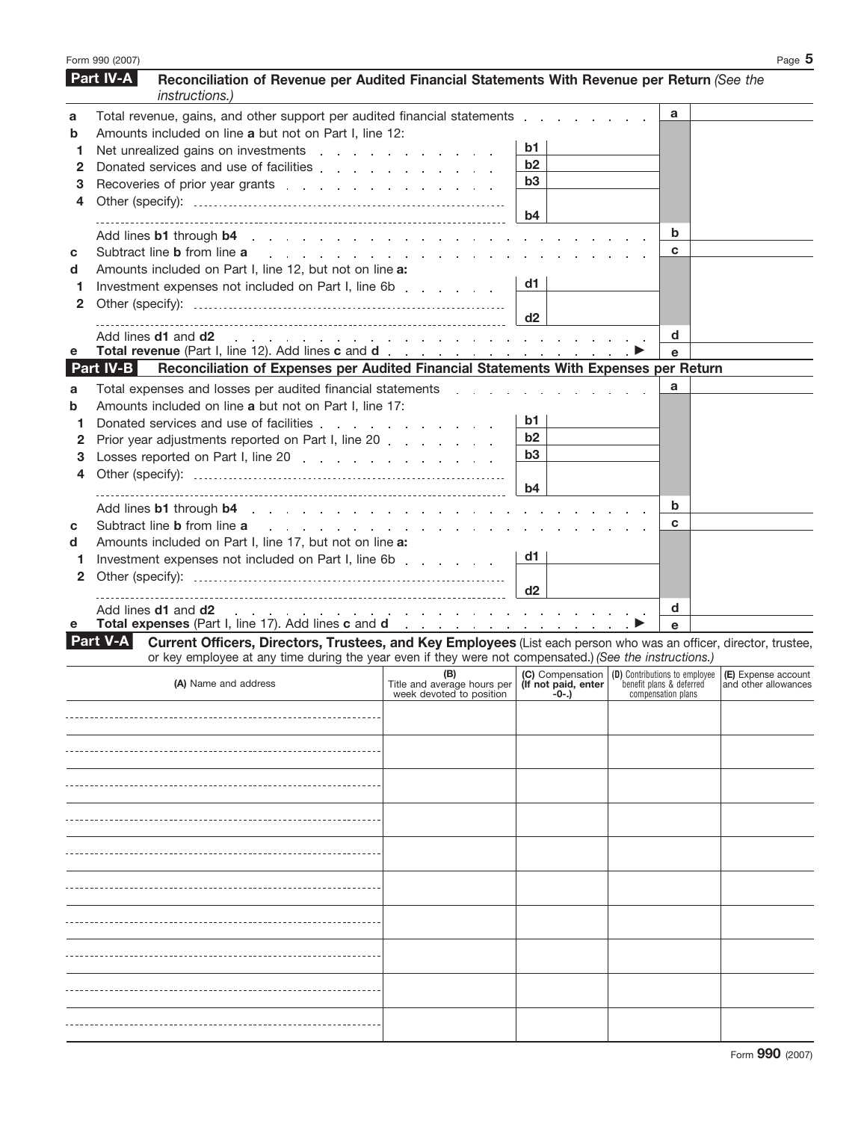|              | Form 990 (2007) |                                                                                                                                                                                                                                                                    |                                                                                                                                                                               |       |                    | Page $5$ |
|--------------|-----------------|--------------------------------------------------------------------------------------------------------------------------------------------------------------------------------------------------------------------------------------------------------------------|-------------------------------------------------------------------------------------------------------------------------------------------------------------------------------|-------|--------------------|----------|
|              | Part IV-A       | Reconciliation of Revenue per Audited Financial Statements With Revenue per Return (See the<br>instructions.)                                                                                                                                                      |                                                                                                                                                                               |       |                    |          |
| a            |                 | Total revenue, gains, and other support per audited financial statements entitled in the case of the statements of the statements of the statements of the statements of the statements of the statements of the statements of                                     |                                                                                                                                                                               |       | a                  |          |
| b            |                 | Amounts included on line a but not on Part I, line 12:                                                                                                                                                                                                             |                                                                                                                                                                               |       |                    |          |
| 1            |                 | Net unrealized gains on investments entity and a series of the set of the set of the set of the set of the set of the set of the set of the set of the set of the set of the set of the set of the set of the set of the set o                                     |                                                                                                                                                                               | b1    |                    |          |
| 2            |                 | Donated services and use of facilities                                                                                                                                                                                                                             |                                                                                                                                                                               | b2    |                    |          |
| З            |                 |                                                                                                                                                                                                                                                                    |                                                                                                                                                                               | b3    |                    |          |
| 4            |                 |                                                                                                                                                                                                                                                                    |                                                                                                                                                                               |       |                    |          |
|              |                 |                                                                                                                                                                                                                                                                    |                                                                                                                                                                               | b4    |                    |          |
|              |                 | Add lines b1 through b4 and the set of the set of the set of the set of the set of the set of the set of the set of the set of the set of the set of the set of the set of the set of the set of the set of the set of the set                                     |                                                                                                                                                                               |       | b                  |          |
| С            |                 | Subtract line <b>b</b> from line <b>a</b>                                                                                                                                                                                                                          | and the second contract of the second contract of the second contract of the second                                                                                           |       | C                  |          |
|              |                 | Amounts included on Part I, line 12, but not on line a:                                                                                                                                                                                                            |                                                                                                                                                                               |       |                    |          |
| d            |                 |                                                                                                                                                                                                                                                                    |                                                                                                                                                                               | d1    |                    |          |
| 1            |                 | Investment expenses not included on Part I, line 6b                                                                                                                                                                                                                |                                                                                                                                                                               |       |                    |          |
| 2            |                 |                                                                                                                                                                                                                                                                    |                                                                                                                                                                               | d2    |                    |          |
|              |                 | Add lines <b>d1</b> and <b>d2</b>                                                                                                                                                                                                                                  |                                                                                                                                                                               |       | d                  |          |
| е            |                 | and a series of the contract of the contract of the contract of the contract of                                                                                                                                                                                    |                                                                                                                                                                               |       | е                  |          |
|              | Part IV-B       | Reconciliation of Expenses per Audited Financial Statements With Expenses per Return                                                                                                                                                                               |                                                                                                                                                                               |       |                    |          |
|              |                 |                                                                                                                                                                                                                                                                    |                                                                                                                                                                               |       |                    |          |
| a            |                 | Total expenses and losses per audited financial statements and the statements of the statements of the statements of the statements of the statements of the statements of the statements of the statements of the statements                                      |                                                                                                                                                                               |       |                    |          |
| b            |                 | Amounts included on line a but not on Part I, line 17:                                                                                                                                                                                                             |                                                                                                                                                                               |       |                    |          |
| 1            |                 | Donated services and use of facilities                                                                                                                                                                                                                             |                                                                                                                                                                               | b1.   |                    |          |
| 2            |                 | Prior year adjustments reported on Part I, line 20                                                                                                                                                                                                                 |                                                                                                                                                                               | b2    |                    |          |
| З            |                 | Losses reported on Part I, line 20                                                                                                                                                                                                                                 |                                                                                                                                                                               | b3    |                    |          |
| 4            |                 |                                                                                                                                                                                                                                                                    |                                                                                                                                                                               |       |                    |          |
|              |                 |                                                                                                                                                                                                                                                                    |                                                                                                                                                                               | b4    |                    |          |
|              |                 |                                                                                                                                                                                                                                                                    |                                                                                                                                                                               |       | b                  |          |
| С            |                 | Subtract line <b>b</b> from line <b>a</b>                                                                                                                                                                                                                          | and a series of the contract of the contract of the contract of the                                                                                                           |       | C                  |          |
| d            |                 | Amounts included on Part I, line 17, but not on line a:                                                                                                                                                                                                            |                                                                                                                                                                               |       |                    |          |
| 1            |                 | Investment expenses not included on Part I, line 6b [1, 1, 1, 1, 1, 1]                                                                                                                                                                                             |                                                                                                                                                                               | d1.   |                    |          |
| $\mathbf{2}$ |                 |                                                                                                                                                                                                                                                                    |                                                                                                                                                                               |       |                    |          |
|              |                 |                                                                                                                                                                                                                                                                    |                                                                                                                                                                               | d2    |                    |          |
| е            |                 | Add lines <b>d1</b> and <b>d2</b><br>Total expenses (Part I, line 17). Add lines c and d and the state of the state of the state of the state of the state of the state of the state of the state of the state of the state of the state of the state of the state | and a series of the contract of the contract of the con-                                                                                                                      |       | d<br>e             |          |
|              | <b>Part V-A</b> | Current Officers, Directors, Trustees, and Key Employees (List each person who was an officer, director, trustee,<br>or key employee at any time during the year even if they were not compensated.) (See the instructions.)                                       |                                                                                                                                                                               |       |                    |          |
|              |                 |                                                                                                                                                                                                                                                                    | <b>(B)</b> (C) Compensation (D) Contributions to employee (E) Expense account<br>Title and average hours per (If not paid, enter lensit plans & deferred and other allowances |       |                    |          |
|              |                 | (A) Name and address                                                                                                                                                                                                                                               | week devoted to position                                                                                                                                                      | -0-.) | compensation plans |          |
|              |                 |                                                                                                                                                                                                                                                                    |                                                                                                                                                                               |       |                    |          |
|              |                 |                                                                                                                                                                                                                                                                    |                                                                                                                                                                               |       |                    |          |
|              |                 |                                                                                                                                                                                                                                                                    |                                                                                                                                                                               |       |                    |          |
|              |                 |                                                                                                                                                                                                                                                                    |                                                                                                                                                                               |       |                    |          |
|              |                 |                                                                                                                                                                                                                                                                    |                                                                                                                                                                               |       |                    |          |
|              |                 |                                                                                                                                                                                                                                                                    |                                                                                                                                                                               |       |                    |          |
|              |                 |                                                                                                                                                                                                                                                                    |                                                                                                                                                                               |       |                    |          |
|              |                 |                                                                                                                                                                                                                                                                    |                                                                                                                                                                               |       |                    |          |
|              |                 |                                                                                                                                                                                                                                                                    |                                                                                                                                                                               |       |                    |          |
|              |                 |                                                                                                                                                                                                                                                                    |                                                                                                                                                                               |       |                    |          |
|              |                 |                                                                                                                                                                                                                                                                    |                                                                                                                                                                               |       |                    |          |
|              |                 |                                                                                                                                                                                                                                                                    |                                                                                                                                                                               |       |                    |          |
|              |                 |                                                                                                                                                                                                                                                                    |                                                                                                                                                                               |       |                    |          |
|              |                 |                                                                                                                                                                                                                                                                    |                                                                                                                                                                               |       |                    |          |
|              |                 |                                                                                                                                                                                                                                                                    |                                                                                                                                                                               |       |                    |          |
|              |                 |                                                                                                                                                                                                                                                                    |                                                                                                                                                                               |       |                    |          |
|              |                 |                                                                                                                                                                                                                                                                    |                                                                                                                                                                               |       |                    |          |
|              |                 |                                                                                                                                                                                                                                                                    |                                                                                                                                                                               |       |                    |          |
|              |                 |                                                                                                                                                                                                                                                                    |                                                                                                                                                                               |       |                    |          |
|              |                 |                                                                                                                                                                                                                                                                    |                                                                                                                                                                               |       |                    |          |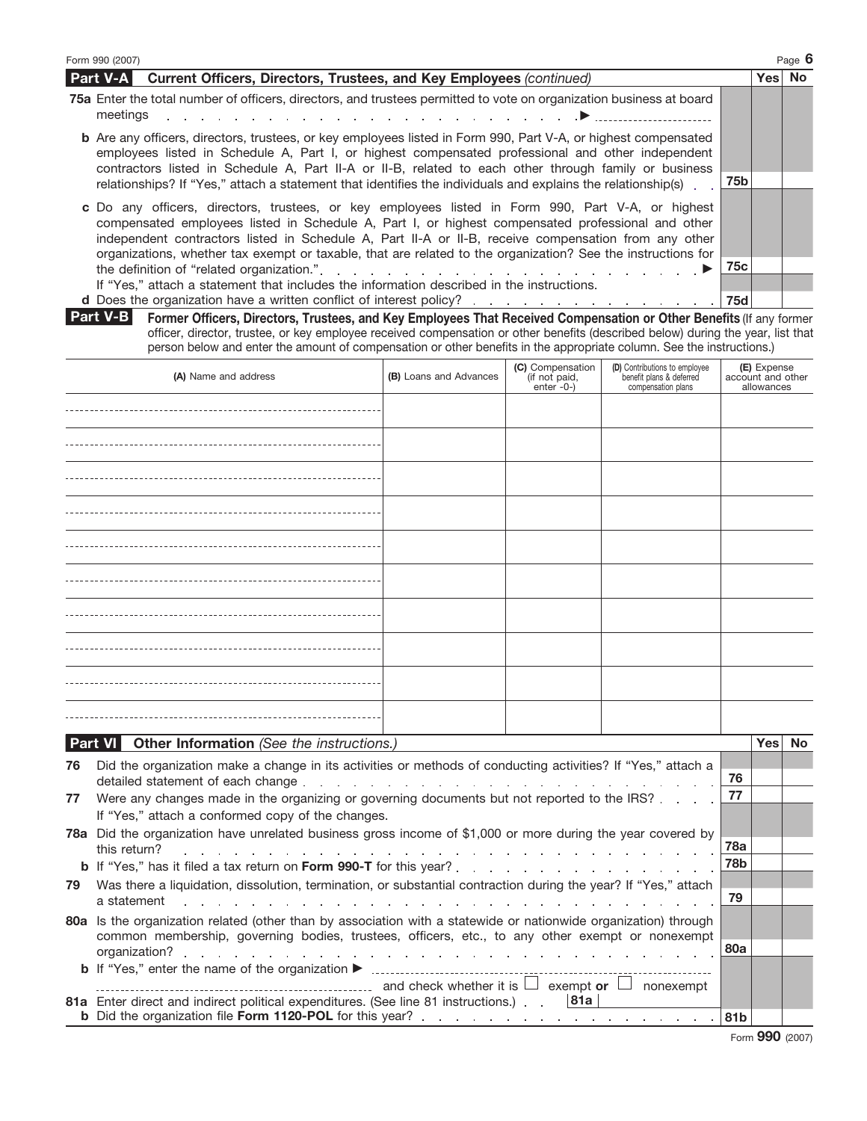| Form 990 (2007)                                                                                                                                                                                                                                                                                                                                                                                                                | Page 6 |
|--------------------------------------------------------------------------------------------------------------------------------------------------------------------------------------------------------------------------------------------------------------------------------------------------------------------------------------------------------------------------------------------------------------------------------|--------|
| Part V-A<br>Current Officers, Directors, Trustees, and Key Employees (continued)                                                                                                                                                                                                                                                                                                                                               | Yes No |
| 75a Enter the total number of officers, directors, and trustees permitted to vote on organization business at board<br>meetings                                                                                                                                                                                                                                                                                                |        |
| <b>b</b> Are any officers, directors, trustees, or key employees listed in Form 990, Part V-A, or highest compensated<br>employees listed in Schedule A, Part I, or highest compensated professional and other independent<br>contractors listed in Schedule A, Part II-A or II-B, related to each other through family or business                                                                                            |        |
| 75b<br>relationships? If "Yes," attach a statement that identifies the individuals and explains the relationship(s).                                                                                                                                                                                                                                                                                                           |        |
| c Do any officers, directors, trustees, or key employees listed in Form 990, Part V-A, or highest<br>compensated employees listed in Schedule A, Part I, or highest compensated professional and other<br>independent contractors listed in Schedule A, Part II-A or II-B, receive compensation from any other<br>organizations, whether tax exempt or taxable, that are related to the organization? See the instructions for |        |
| 75с                                                                                                                                                                                                                                                                                                                                                                                                                            |        |
| If "Yes," attach a statement that includes the information described in the instructions.                                                                                                                                                                                                                                                                                                                                      |        |
| 75d                                                                                                                                                                                                                                                                                                                                                                                                                            |        |
| Part V-B<br>Former Officers, Directors, Trustees, and Key Employees That Received Compensation or Other Benefits (If any former                                                                                                                                                                                                                                                                                                |        |

| Part V-B I | Former Officers, Directors, Trustees, and Key Employees That Received Compensation or Other Benefits (If any former              |
|------------|----------------------------------------------------------------------------------------------------------------------------------|
|            | officer, director, trustee, or key employee received compensation or other benefits (described below) during the year, list that |
|            | person below and enter the amount of compensation or other benefits in the appropriate column. See the instructions.)            |

| (A) Name and address                                                                                                                                                                                                                                                                     | (B) Loans and Advances | (C) Compensation<br>(if not paid,<br>enter -0-) | <b>(D)</b> Contributions to employee<br>benefit plans & deferred<br>compensation plans | <b>(E)</b> Expense<br>account and other<br>allowances |
|------------------------------------------------------------------------------------------------------------------------------------------------------------------------------------------------------------------------------------------------------------------------------------------|------------------------|-------------------------------------------------|----------------------------------------------------------------------------------------|-------------------------------------------------------|
|                                                                                                                                                                                                                                                                                          |                        |                                                 |                                                                                        |                                                       |
|                                                                                                                                                                                                                                                                                          |                        |                                                 |                                                                                        |                                                       |
|                                                                                                                                                                                                                                                                                          |                        |                                                 |                                                                                        |                                                       |
|                                                                                                                                                                                                                                                                                          |                        |                                                 |                                                                                        |                                                       |
|                                                                                                                                                                                                                                                                                          |                        |                                                 |                                                                                        |                                                       |
|                                                                                                                                                                                                                                                                                          |                        |                                                 |                                                                                        |                                                       |
|                                                                                                                                                                                                                                                                                          |                        |                                                 |                                                                                        |                                                       |
|                                                                                                                                                                                                                                                                                          |                        |                                                 |                                                                                        |                                                       |
|                                                                                                                                                                                                                                                                                          |                        |                                                 |                                                                                        |                                                       |
|                                                                                                                                                                                                                                                                                          |                        |                                                 |                                                                                        |                                                       |
| <u>and the second contract of the second second and the second second second and second and second and second and second and second and second and second and second and second and second and second and second and second and </u><br>$\sim$ $\sim$ $\sim$ $\sim$ $\sim$ $\sim$ $\sim$ | $\mathbf{r}$           |                                                 |                                                                                        | $\sim$ $\sim$<br>$\sim$ $\sim$                        |

|    | <b>Part VI</b> Other Information (See the instructions.)                                                                                                                                                                                                                                                                                                         |     | Yesl | No |
|----|------------------------------------------------------------------------------------------------------------------------------------------------------------------------------------------------------------------------------------------------------------------------------------------------------------------------------------------------------------------|-----|------|----|
| 76 | Did the organization make a change in its activities or methods of conducting activities? If "Yes," attach a<br>detailed statement of each change entering to a contract the contract of each change of the contract of the contract of the contract of the contract of the contract of the contract of the contract of the contract of the co                   | 76  |      |    |
| 77 | Were any changes made in the organizing or governing documents but not reported to the IRS? [165] Were any changes<br>If "Yes," attach a conformed copy of the changes.                                                                                                                                                                                          | 77  |      |    |
|    | <b>78a</b> Did the organization have unrelated business gross income of \$1,000 or more during the year covered by<br>this return?<br>and the second contract of the contract of the contract of the contract of the contract of the contract of the                                                                                                             | 78a |      |    |
|    |                                                                                                                                                                                                                                                                                                                                                                  | 78b |      |    |
| 79 | Was there a liquidation, dissolution, termination, or substantial contraction during the year? If "Yes," attach<br>a statement<br>and the contract of the contract of the contract of the contract of the contract of the contract of the contract of the contract of the contract of the contract of the contract of the contract of the contract of the contra | 79  |      |    |
|    | 80a Is the organization related (other than by association with a statewide or nationwide organization) through<br>common membership, governing bodies, trustees, officers, etc., to any other exempt or nonexempt                                                                                                                                               |     |      |    |
|    |                                                                                                                                                                                                                                                                                                                                                                  | 80a |      |    |
|    | $\Box$ $\Box$ and check whether it is $\Box$ exempt or $\Box$<br>nonexempt                                                                                                                                                                                                                                                                                       |     |      |    |
|    | 81a Enter direct and indirect political expenditures. (See line 81 instructions.) . 81a                                                                                                                                                                                                                                                                          | 81b |      |    |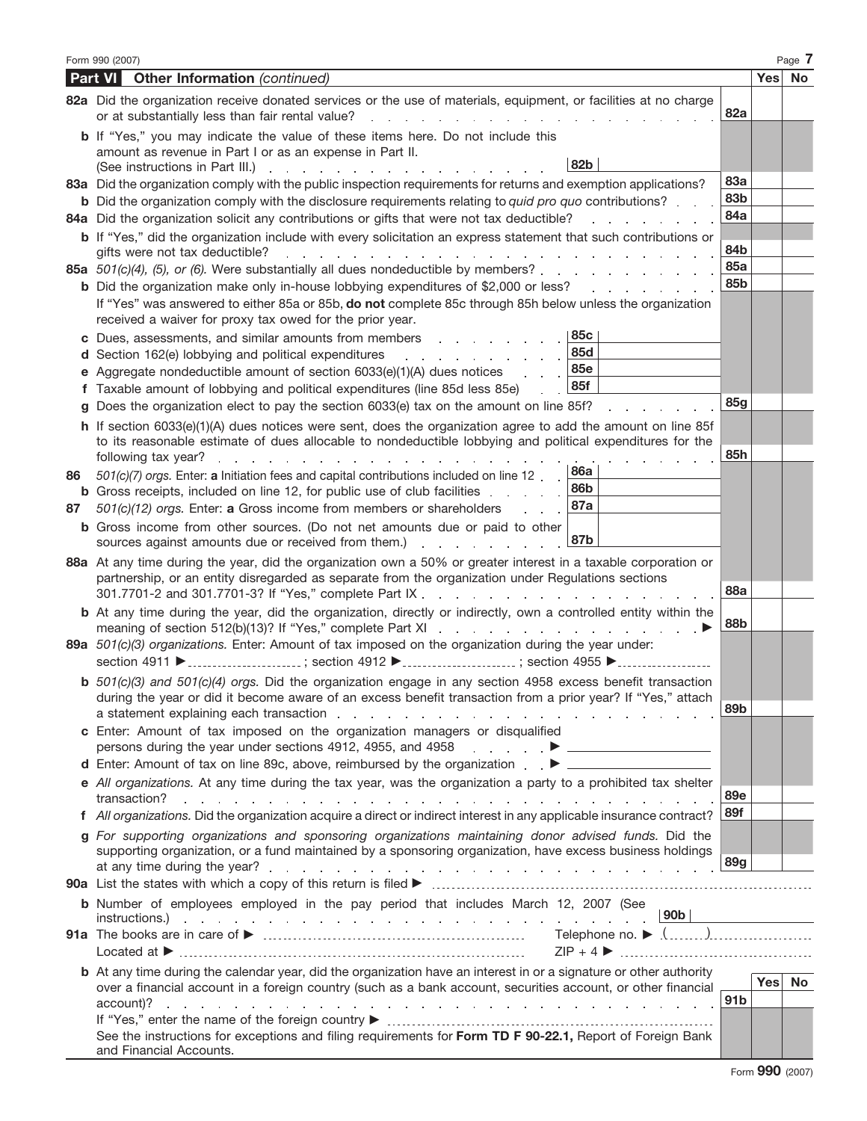|    | Form 990 (2007)                                                                                                                                                                                                                                                                                                                                                                                                                                                        |                 | Page 7 |
|----|------------------------------------------------------------------------------------------------------------------------------------------------------------------------------------------------------------------------------------------------------------------------------------------------------------------------------------------------------------------------------------------------------------------------------------------------------------------------|-----------------|--------|
|    | Part VI<br><b>Other Information</b> (continued)                                                                                                                                                                                                                                                                                                                                                                                                                        |                 | Yes No |
|    | 82a Did the organization receive donated services or the use of materials, equipment, or facilities at no charge<br>or at substantially less than fair rental value?                                                                                                                                                                                                                                                                                                   | 82a             |        |
|    | b If "Yes," you may indicate the value of these items here. Do not include this<br>amount as revenue in Part I or as an expense in Part II.<br>82b<br>(See instructions in Part III.)<br>and a state of the contract of<br>the common state of the com-                                                                                                                                                                                                                |                 |        |
|    | 83a Did the organization comply with the public inspection requirements for returns and exemption applications?                                                                                                                                                                                                                                                                                                                                                        | <b>83a</b>      |        |
|    | <b>b</b> Did the organization comply with the disclosure requirements relating to <i>quid pro quo</i> contributions?                                                                                                                                                                                                                                                                                                                                                   | 83b             |        |
|    | 84a Did the organization solicit any contributions or gifts that were not tax deductible?                                                                                                                                                                                                                                                                                                                                                                              | 84a             |        |
|    | <b>b</b> If "Yes," did the organization include with every solicitation an express statement that such contributions or<br>gifts were not tax deductible?<br>and a straight and a straight and                                                                                                                                                                                                                                                                         | 84b             |        |
|    | 85a 501(c)(4), (5), or (6). Were substantially all dues nondeductible by members?.<br>and a state of the state of the                                                                                                                                                                                                                                                                                                                                                  | 85a             |        |
|    | <b>b</b> Did the organization make only in-house lobbying expenditures of \$2,000 or less?<br>a na manaza                                                                                                                                                                                                                                                                                                                                                              | 85b             |        |
|    | If "Yes" was answered to either 85a or 85b, do not complete 85c through 85h below unless the organization<br>received a waiver for proxy tax owed for the prior year.                                                                                                                                                                                                                                                                                                  |                 |        |
|    | 85c<br>c Dues, assessments, and similar amounts from members<br>the contract of the contract of the                                                                                                                                                                                                                                                                                                                                                                    |                 |        |
|    | 85d<br>d Section 162(e) lobbying and political expenditures<br>the company of the company of the                                                                                                                                                                                                                                                                                                                                                                       |                 |        |
|    | <b>85e</b><br><b>e</b> Aggregate nondeductible amount of section $6033(e)(1)(A)$ dues notices                                                                                                                                                                                                                                                                                                                                                                          |                 |        |
|    | 85f<br>f Taxable amount of lobbying and political expenditures (line 85d less 85e)                                                                                                                                                                                                                                                                                                                                                                                     | 85g             |        |
|    | Does the organization elect to pay the section 6033(e) tax on the amount on line 85f?                                                                                                                                                                                                                                                                                                                                                                                  |                 |        |
|    | h If section 6033(e)(1)(A) dues notices were sent, does the organization agree to add the amount on line 85f<br>to its reasonable estimate of dues allocable to nondeductible lobbying and political expenditures for the                                                                                                                                                                                                                                              | 85h             |        |
| 86 | following tax year?<br>the contract of the contract of the contract of the contract of the contract of the contract of the contract of<br>86a<br>501(c)(7) orgs. Enter: a Initiation fees and capital contributions included on line 12.                                                                                                                                                                                                                               |                 |        |
|    | 86b<br><b>b</b> Gross receipts, included on line 12, for public use of club facilities                                                                                                                                                                                                                                                                                                                                                                                 |                 |        |
| 87 | 87a<br>501(c)(12) orgs. Enter: a Gross income from members or shareholders                                                                                                                                                                                                                                                                                                                                                                                             |                 |        |
|    | <b>b</b> Gross income from other sources. (Do not net amounts due or paid to other<br>87b<br>sources against amounts due or received from them.)<br>and a state of the state of the state                                                                                                                                                                                                                                                                              |                 |        |
|    | 88a At any time during the year, did the organization own a 50% or greater interest in a taxable corporation or<br>partnership, or an entity disregarded as separate from the organization under Regulations sections<br>301.7701-2 and 301.7701-3? If "Yes," complete Part IX.<br>the contract of the contract of the contract of the contract of the contract of the contract of the contract of                                                                     | 88a             |        |
|    | b At any time during the year, did the organization, directly or indirectly, own a controlled entity within the                                                                                                                                                                                                                                                                                                                                                        | 88b             |        |
|    | 89a 501(c)(3) organizations. Enter: Amount of tax imposed on the organization during the year under:<br>section 4911 ▶ ; section 4912 ▶ ; section 4955 ▶                                                                                                                                                                                                                                                                                                               |                 |        |
|    | <b>b</b> $501(c)(3)$ and $501(c)(4)$ orgs. Did the organization engage in any section 4958 excess benefit transaction<br>during the year or did it become aware of an excess benefit transaction from a prior year? If "Yes," attach<br>a statement explaining each transaction results and results and results are a statement explaining each transaction results and results are a statement of the statement of the statement of the statement of the statement of | 89 <sub>b</sub> |        |
|    | c Enter: Amount of tax imposed on the organization managers or disqualified<br>persons during the year under sections 4912, 4955, and 4958 <b>Exercise Product ►</b> All <b>Exercise Product Product</b>                                                                                                                                                                                                                                                               |                 |        |
|    | d Enter: Amount of tax on line 89c, above, reimbursed by the organization . ▶ _____________________                                                                                                                                                                                                                                                                                                                                                                    |                 |        |
|    | e All organizations. At any time during the tax year, was the organization a party to a prohibited tax shelter                                                                                                                                                                                                                                                                                                                                                         | 89e             |        |
|    | f All organizations. Did the organization acquire a direct or indirect interest in any applicable insurance contract?                                                                                                                                                                                                                                                                                                                                                  | 89f             |        |
|    | g For supporting organizations and sponsoring organizations maintaining donor advised funds. Did the                                                                                                                                                                                                                                                                                                                                                                   |                 |        |
|    | supporting organization, or a fund maintained by a sponsoring organization, have excess business holdings                                                                                                                                                                                                                                                                                                                                                              | 89g             |        |
|    |                                                                                                                                                                                                                                                                                                                                                                                                                                                                        |                 |        |
|    | <b>b</b> Number of employees employed in the pay period that includes March 12, 2007 (See                                                                                                                                                                                                                                                                                                                                                                              |                 |        |
|    |                                                                                                                                                                                                                                                                                                                                                                                                                                                                        |                 |        |
|    | $ZIP + 4$                                                                                                                                                                                                                                                                                                                                                                                                                                                              |                 |        |
|    | <b>b</b> At any time during the calendar year, did the organization have an interest in or a signature or other authority                                                                                                                                                                                                                                                                                                                                              |                 |        |
|    | over a financial account in a foreign country (such as a bank account, securities account, or other financial                                                                                                                                                                                                                                                                                                                                                          |                 | Yes No |
|    |                                                                                                                                                                                                                                                                                                                                                                                                                                                                        | 91 <sub>b</sub> |        |
|    | See the instructions for exceptions and filing requirements for Form TD F 90-22.1, Report of Foreign Bank                                                                                                                                                                                                                                                                                                                                                              |                 |        |
|    | and Financial Accounts.                                                                                                                                                                                                                                                                                                                                                                                                                                                |                 |        |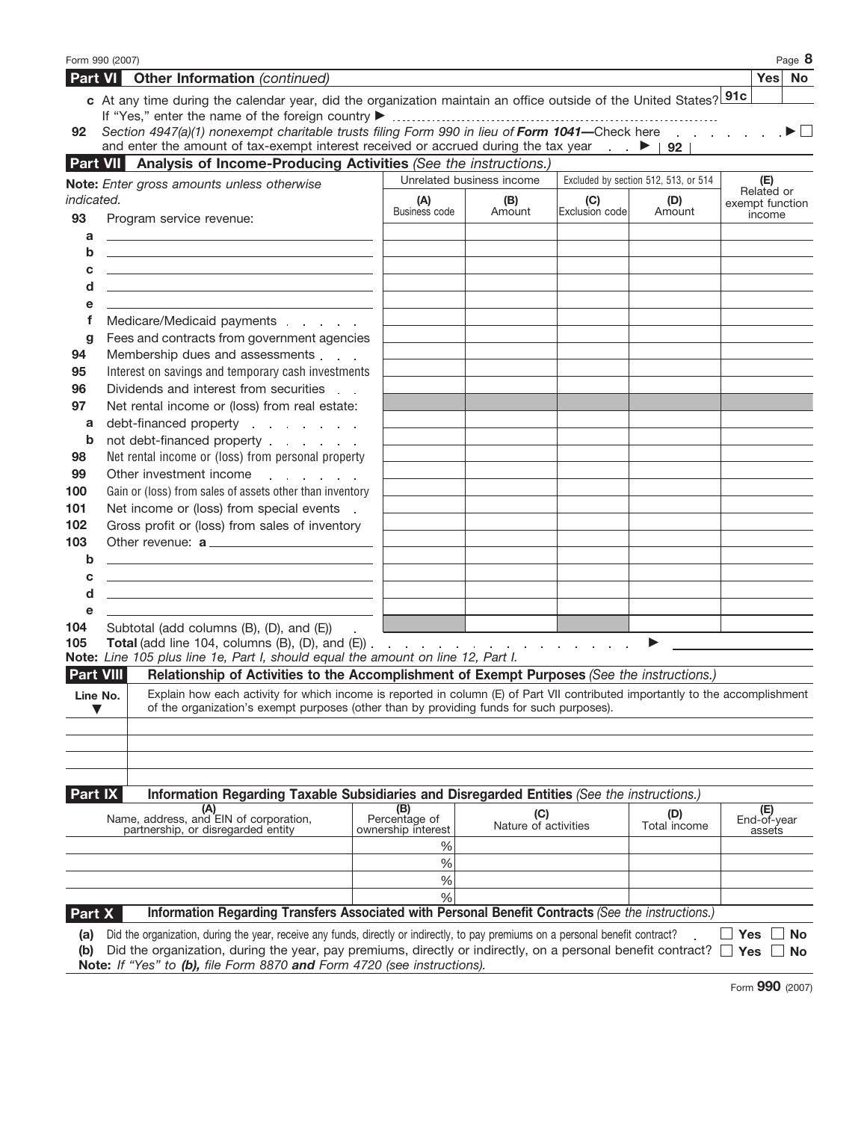|                  | Form 990 (2007)                                                                                                                                                                                                                                                                                                              |                    |                             |                |                                      |                           | Page 8               |
|------------------|------------------------------------------------------------------------------------------------------------------------------------------------------------------------------------------------------------------------------------------------------------------------------------------------------------------------------|--------------------|-----------------------------|----------------|--------------------------------------|---------------------------|----------------------|
|                  | <b>Part VI</b> Other Information (continued)                                                                                                                                                                                                                                                                                 |                    |                             |                |                                      | Yes No                    |                      |
|                  | c At any time during the calendar year, did the organization maintain an office outside of the United States? 91c                                                                                                                                                                                                            |                    |                             |                |                                      |                           |                      |
|                  | Section 4947(a)(1) nonexempt charitable trusts filing Form 990 in lieu of Form 1041-Check here                                                                                                                                                                                                                               |                    |                             |                |                                      |                           | $\rightarrow$ $\Box$ |
| 92               | and enter the amount of tax-exempt interest received or accrued during the tax year $\blacktriangleright$   92                                                                                                                                                                                                               |                    |                             |                |                                      |                           |                      |
| <b>Part VII</b>  | Analysis of Income-Producing Activities (See the instructions.)                                                                                                                                                                                                                                                              |                    |                             |                |                                      |                           |                      |
|                  |                                                                                                                                                                                                                                                                                                                              |                    | Unrelated business income   |                | Excluded by section 512, 513, or 514 | (E)                       |                      |
| indicated.       | Note: Enter gross amounts unless otherwise                                                                                                                                                                                                                                                                                   | (A)                | (B)                         | (C)            | (D)                                  | Related or                |                      |
| 93               | Program service revenue:                                                                                                                                                                                                                                                                                                     | Business code      | Amount                      | Exclusion code | Amount                               | exempt function<br>income |                      |
| a                | <u> 1989 - Andrea Stadt Britain, amerikansk politik (</u>                                                                                                                                                                                                                                                                    |                    |                             |                |                                      |                           |                      |
| b                | <u> 1989 - Johann John Stein, markin fan it ferstjer fan de ferstjer fan it ferstjer fan de ferstjer fan de fers</u>                                                                                                                                                                                                         |                    |                             |                |                                      |                           |                      |
| c                |                                                                                                                                                                                                                                                                                                                              |                    |                             |                |                                      |                           |                      |
| d                |                                                                                                                                                                                                                                                                                                                              |                    |                             |                |                                      |                           |                      |
| е                |                                                                                                                                                                                                                                                                                                                              |                    |                             |                |                                      |                           |                      |
| f                | Medicare/Medicaid payments                                                                                                                                                                                                                                                                                                   |                    |                             |                |                                      |                           |                      |
| g                | Fees and contracts from government agencies                                                                                                                                                                                                                                                                                  |                    |                             |                |                                      |                           |                      |
| 94               | Membership dues and assessments                                                                                                                                                                                                                                                                                              |                    |                             |                |                                      |                           |                      |
| 95               | Interest on savings and temporary cash investments                                                                                                                                                                                                                                                                           |                    |                             |                |                                      |                           |                      |
| 96               | Dividends and interest from securities                                                                                                                                                                                                                                                                                       |                    |                             |                |                                      |                           |                      |
| 97               | Net rental income or (loss) from real estate:                                                                                                                                                                                                                                                                                |                    |                             |                |                                      |                           |                      |
| a                | debt-financed property enter the state of the state of the state of the state of the state of the state of the                                                                                                                                                                                                               |                    |                             |                |                                      |                           |                      |
| b                | not debt-financed property                                                                                                                                                                                                                                                                                                   |                    |                             |                |                                      |                           |                      |
| 98               | Net rental income or (loss) from personal property                                                                                                                                                                                                                                                                           |                    |                             |                |                                      |                           |                      |
| 99               | Other investment income                                                                                                                                                                                                                                                                                                      |                    |                             |                |                                      |                           |                      |
| 100              | Gain or (loss) from sales of assets other than inventory                                                                                                                                                                                                                                                                     |                    |                             |                |                                      |                           |                      |
| 101              | Net income or (loss) from special events .                                                                                                                                                                                                                                                                                   |                    |                             |                |                                      |                           |                      |
| 102              | Gross profit or (loss) from sales of inventory                                                                                                                                                                                                                                                                               |                    |                             |                |                                      |                           |                      |
| 103              | Other revenue: a                                                                                                                                                                                                                                                                                                             |                    |                             |                |                                      |                           |                      |
| b<br>c           |                                                                                                                                                                                                                                                                                                                              |                    |                             |                |                                      |                           |                      |
| d                | <u> 1989 - Johann Stoff, deutscher Stoff, der Stoff, der Stoff, der Stoff, der Stoff, der Stoff, der Stoff, der S</u><br><u> 1989 - Johann Barbara, martin amerikan basal dan berasal dalam basal dalam basal dalam basal dalam basal dala</u>                                                                               |                    |                             |                |                                      |                           |                      |
| e                |                                                                                                                                                                                                                                                                                                                              |                    |                             |                |                                      |                           |                      |
| 104              | Subtotal (add columns (B), (D), and (E))                                                                                                                                                                                                                                                                                     |                    |                             |                |                                      |                           |                      |
| 105              |                                                                                                                                                                                                                                                                                                                              |                    |                             |                |                                      |                           |                      |
|                  | Note: Line 105 plus line 1e, Part I, should equal the amount on line 12, Part I.                                                                                                                                                                                                                                             |                    |                             |                |                                      |                           |                      |
| <b>Part VIII</b> | Relationship of Activities to the Accomplishment of Exempt Purposes (See the instructions.)                                                                                                                                                                                                                                  |                    |                             |                |                                      |                           |                      |
| Line No.         | Explain how each activity for which income is reported in column (E) of Part VII contributed importantly to the accomplishment                                                                                                                                                                                               |                    |                             |                |                                      |                           |                      |
|                  | of the organization's exempt purposes (other than by providing funds for such purposes).                                                                                                                                                                                                                                     |                    |                             |                |                                      |                           |                      |
|                  |                                                                                                                                                                                                                                                                                                                              |                    |                             |                |                                      |                           |                      |
|                  |                                                                                                                                                                                                                                                                                                                              |                    |                             |                |                                      |                           |                      |
|                  |                                                                                                                                                                                                                                                                                                                              |                    |                             |                |                                      |                           |                      |
|                  |                                                                                                                                                                                                                                                                                                                              |                    |                             |                |                                      |                           |                      |
| Part IX          | Information Regarding Taxable Subsidiaries and Disregarded Entities (See the instructions.)<br>(A)                                                                                                                                                                                                                           | (B)                |                             |                |                                      |                           |                      |
|                  | Name, address, and EIN of corporation,                                                                                                                                                                                                                                                                                       | Percentage of      | (C)<br>Nature of activities |                | (D)<br>Total income                  | (E)<br>End-of-year        |                      |
|                  | partnership, or disregarded entity                                                                                                                                                                                                                                                                                           | ownership interest |                             |                |                                      | assets                    |                      |
|                  |                                                                                                                                                                                                                                                                                                                              | ℅                  |                             |                |                                      |                           |                      |
|                  |                                                                                                                                                                                                                                                                                                                              | %<br>$\%$          |                             |                |                                      |                           |                      |
|                  |                                                                                                                                                                                                                                                                                                                              | %                  |                             |                |                                      |                           |                      |
| Part X           | Information Regarding Transfers Associated with Personal Benefit Contracts (See the instructions.)                                                                                                                                                                                                                           |                    |                             |                |                                      |                           |                      |
|                  |                                                                                                                                                                                                                                                                                                                              |                    |                             |                |                                      |                           |                      |
| (a)<br>(b)       | Did the organization, during the year, receive any funds, directly or indirectly, to pay premiums on a personal benefit contract?<br>Did the organization, during the year, pay premiums, directly or indirectly, on a personal benefit contract?<br>Note: If "Yes" to (b), file Form 8870 and Form 4720 (see instructions). |                    |                             |                |                                      | Yes<br>Yes                | No.<br><b>No</b>     |